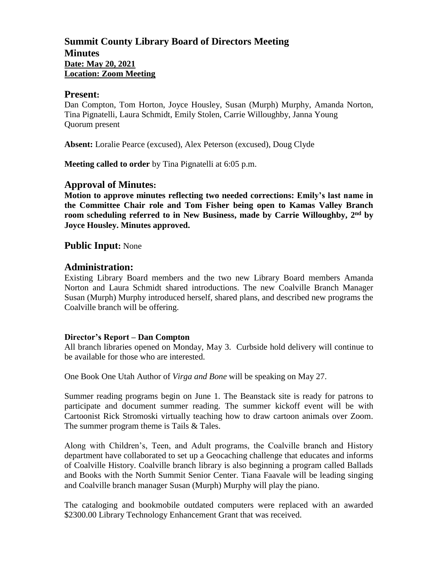## **Summit County Library Board of Directors Meeting Minutes Date: May 20, 2021 Location: Zoom Meeting**

#### **Present:**

Dan Compton, Tom Horton, Joyce Housley, Susan (Murph) Murphy, Amanda Norton, Tina Pignatelli, Laura Schmidt, Emily Stolen, Carrie Willoughby, Janna Young Quorum present

**Absent:** Loralie Pearce (excused), Alex Peterson (excused), Doug Clyde

**Meeting called to order** by Tina Pignatelli at 6:05 p.m.

## **Approval of Minutes:**

**Motion to approve minutes reflecting two needed corrections: Emily's last name in the Committee Chair role and Tom Fisher being open to Kamas Valley Branch room scheduling referred to in New Business, made by Carrie Willoughby, 2 nd by Joyce Housley. Minutes approved.** 

## **Public Input:** None

## **Administration:**

Existing Library Board members and the two new Library Board members Amanda Norton and Laura Schmidt shared introductions. The new Coalville Branch Manager Susan (Murph) Murphy introduced herself, shared plans, and described new programs the Coalville branch will be offering.

#### **Director's Report – Dan Compton**

All branch libraries opened on Monday, May 3. Curbside hold delivery will continue to be available for those who are interested.

One Book One Utah Author of *Virga and Bone* will be speaking on May 27.

Summer reading programs begin on June 1. The Beanstack site is ready for patrons to participate and document summer reading. The summer kickoff event will be with Cartoonist Rick Stromoski virtually teaching how to draw cartoon animals over Zoom. The summer program theme is Tails & Tales.

Along with Children's, Teen, and Adult programs, the Coalville branch and History department have collaborated to set up a Geocaching challenge that educates and informs of Coalville History. Coalville branch library is also beginning a program called Ballads and Books with the North Summit Senior Center. Tiana Faavale will be leading singing and Coalville branch manager Susan (Murph) Murphy will play the piano.

The cataloging and bookmobile outdated computers were replaced with an awarded \$2300.00 Library Technology Enhancement Grant that was received.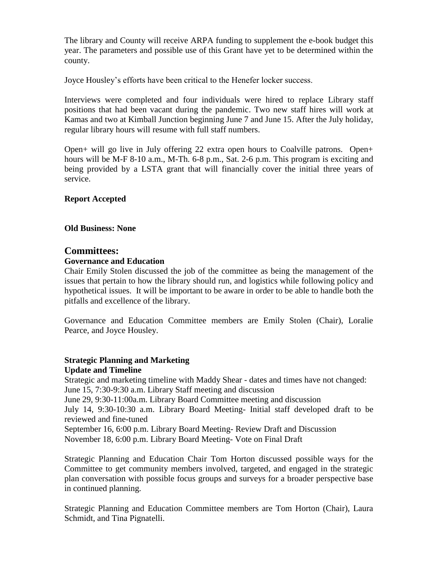The library and County will receive ARPA funding to supplement the e-book budget this year. The parameters and possible use of this Grant have yet to be determined within the county.

Joyce Housley's efforts have been critical to the Henefer locker success.

Interviews were completed and four individuals were hired to replace Library staff positions that had been vacant during the pandemic. Two new staff hires will work at Kamas and two at Kimball Junction beginning June 7 and June 15. After the July holiday, regular library hours will resume with full staff numbers.

Open+ will go live in July offering 22 extra open hours to Coalville patrons. Open+ hours will be M-F 8-10 a.m., M-Th. 6-8 p.m., Sat. 2-6 p.m. This program is exciting and being provided by a LSTA grant that will financially cover the initial three years of service.

### **Report Accepted**

**Old Business: None**

### **Committees:**

#### **Governance and Education**

Chair Emily Stolen discussed the job of the committee as being the management of the issues that pertain to how the library should run, and logistics while following policy and hypothetical issues. It will be important to be aware in order to be able to handle both the pitfalls and excellence of the library.

Governance and Education Committee members are Emily Stolen (Chair), Loralie Pearce, and Joyce Housley.

### **Strategic Planning and Marketing Update and Timeline**

Strategic and marketing timeline with Maddy Shear - dates and times have not changed: June 15, 7:30-9:30 a.m. Library Staff meeting and discussion June 29, 9:30-11:00a.m. Library Board Committee meeting and discussion July 14, 9:30-10:30 a.m. Library Board Meeting- Initial staff developed draft to be reviewed and fine-tuned September 16, 6:00 p.m. Library Board Meeting- Review Draft and Discussion November 18, 6:00 p.m. Library Board Meeting- Vote on Final Draft

Strategic Planning and Education Chair Tom Horton discussed possible ways for the Committee to get community members involved, targeted, and engaged in the strategic plan conversation with possible focus groups and surveys for a broader perspective base in continued planning.

Strategic Planning and Education Committee members are Tom Horton (Chair), Laura Schmidt, and Tina Pignatelli.